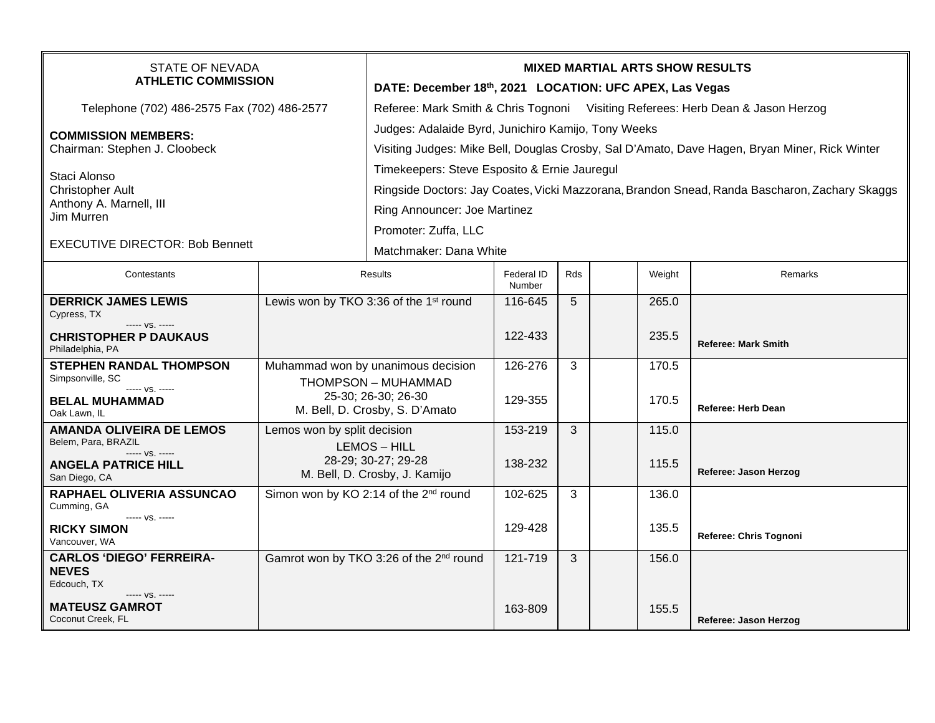| <b>STATE OF NEVADA</b><br><b>ATHLETIC COMMISSION</b>                |                                                                                                                    | <b>MIXED MARTIAL ARTS SHOW RESULTS</b>                                                                                                               |                      |     |  |        |                            |  |  |
|---------------------------------------------------------------------|--------------------------------------------------------------------------------------------------------------------|------------------------------------------------------------------------------------------------------------------------------------------------------|----------------------|-----|--|--------|----------------------------|--|--|
|                                                                     |                                                                                                                    | DATE: December 18th, 2021 LOCATION: UFC APEX, Las Vegas                                                                                              |                      |     |  |        |                            |  |  |
| Telephone (702) 486-2575 Fax (702) 486-2577                         |                                                                                                                    | Referee: Mark Smith & Chris Tognoni Visiting Referees: Herb Dean & Jason Herzog                                                                      |                      |     |  |        |                            |  |  |
| <b>COMMISSION MEMBERS:</b><br>Chairman: Stephen J. Cloobeck         |                                                                                                                    | Judges: Adalaide Byrd, Junichiro Kamijo, Tony Weeks<br>Visiting Judges: Mike Bell, Douglas Crosby, Sal D'Amato, Dave Hagen, Bryan Miner, Rick Winter |                      |     |  |        |                            |  |  |
| Staci Alonso<br><b>Christopher Ault</b>                             |                                                                                                                    | Timekeepers: Steve Esposito & Ernie Jauregul                                                                                                         |                      |     |  |        |                            |  |  |
|                                                                     |                                                                                                                    | Ringside Doctors: Jay Coates, Vicki Mazzorana, Brandon Snead, Randa Bascharon, Zachary Skaggs                                                        |                      |     |  |        |                            |  |  |
| Anthony A. Marnell, III                                             |                                                                                                                    | Ring Announcer: Joe Martinez                                                                                                                         |                      |     |  |        |                            |  |  |
| Jim Murren                                                          |                                                                                                                    | Promoter: Zuffa, LLC                                                                                                                                 |                      |     |  |        |                            |  |  |
| <b>EXECUTIVE DIRECTOR: Bob Bennett</b>                              |                                                                                                                    |                                                                                                                                                      |                      |     |  |        |                            |  |  |
|                                                                     |                                                                                                                    | Matchmaker: Dana White                                                                                                                               |                      |     |  |        |                            |  |  |
| Contestants                                                         | <b>Results</b>                                                                                                     |                                                                                                                                                      | Federal ID<br>Number | Rds |  | Weight | Remarks                    |  |  |
| <b>DERRICK JAMES LEWIS</b><br>Cypress, TX                           | Lewis won by TKO 3:36 of the 1 <sup>st</sup> round                                                                 |                                                                                                                                                      | 116-645              | 5   |  | 265.0  |                            |  |  |
| ----- VS. -----<br><b>CHRISTOPHER P DAUKAUS</b><br>Philadelphia, PA |                                                                                                                    |                                                                                                                                                      | 122-433              |     |  | 235.5  | <b>Referee: Mark Smith</b> |  |  |
| <b>STEPHEN RANDAL THOMPSON</b><br>Simpsonville, SC                  | Muhammad won by unanimous decision<br>THOMPSON - MUHAMMAD<br>25-30; 26-30; 26-30<br>M. Bell, D. Crosby, S. D'Amato |                                                                                                                                                      | 126-276              | 3   |  | 170.5  |                            |  |  |
| ----- VS. -----<br><b>BELAL MUHAMMAD</b><br>Oak Lawn, IL            |                                                                                                                    |                                                                                                                                                      | 129-355              |     |  | 170.5  | <b>Referee: Herb Dean</b>  |  |  |
| <b>AMANDA OLIVEIRA DE LEMOS</b>                                     | Lemos won by split decision                                                                                        |                                                                                                                                                      | 153-219              | 3   |  | 115.0  |                            |  |  |
| Belem, Para, BRAZIL<br>----- VS. -----                              | <b>LEMOS - HILL</b>                                                                                                |                                                                                                                                                      |                      |     |  |        |                            |  |  |
| <b>ANGELA PATRICE HILL</b><br>San Diego, CA                         | 28-29; 30-27; 29-28<br>M. Bell, D. Crosby, J. Kamijo                                                               |                                                                                                                                                      | 138-232              |     |  | 115.5  | Referee: Jason Herzog      |  |  |
| RAPHAEL OLIVERIA ASSUNCAO<br>Cumming, GA                            | Simon won by KO 2:14 of the 2 <sup>nd</sup> round                                                                  |                                                                                                                                                      | 102-625              | 3   |  | 136.0  |                            |  |  |
| ----- VS. -----<br><b>RICKY SIMON</b><br>Vancouver, WA              |                                                                                                                    |                                                                                                                                                      | 129-428              |     |  | 135.5  | Referee: Chris Tognoni     |  |  |
| <b>CARLOS 'DIEGO' FERREIRA-</b><br><b>NEVES</b><br>Edcouch, TX      | Gamrot won by TKO 3:26 of the 2 <sup>nd</sup> round                                                                |                                                                                                                                                      | 121-719              | 3   |  | 156.0  |                            |  |  |
| ----- VS. -----<br><b>MATEUSZ GAMROT</b><br>Coconut Creek, FL       |                                                                                                                    |                                                                                                                                                      | 163-809              |     |  | 155.5  | Referee: Jason Herzog      |  |  |